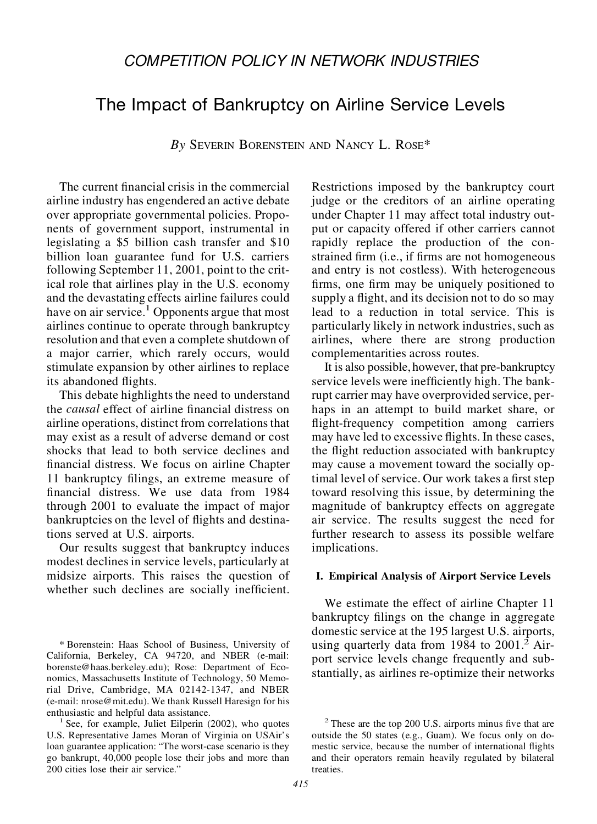## *COMPETITION POLICY IN NETWORK INDUSTRIES*

# The Impact of Bankruptcy on Airline Service Levels

*By* SEVERIN BORENSTEIN AND NANCY L. ROSE\*

The current financial crisis in the commercial airline industry has engendered an active debate over appropriate governmental policies. Proponents of government support, instrumental in legislating a \$5 billion cash transfer and \$10 billion loan guarantee fund for U.S. carriers following September 11, 2001, point to the critical role that airlines play in the U.S. economy and the devastating effects airline failures could have on air service.<sup>1</sup> Opponents argue that most airlines continue to operate through bankruptcy resolution and that even a complete shutdown of a major carrier, which rarely occurs, would stimulate expansion by other airlines to replace its abandoned flights.

This debate highlights the need to understand the *causal* effect of airline financial distress on airline operations, distinct from correlationsthat may exist as a result of adverse demand or cost shocks that lead to both service declines and nancial distress. We focus on airline Chapter 11 bankruptcy filings, an extreme measure of nancial distress. We use data from 1984 through 2001 to evaluate the impact of major bankruptcies on the level of flights and destinations served at U.S. airports.

Our results suggest that bankruptcy induces modest declines in service levels, particularly at midsize airports. This raises the question of whether such declines are socially inefficient.

\* Borenstein: Haas School of Business, University of California, Berkeley, CA 94720, and NBER (e-mail: borenste@haas.berkeley.edu); Rose: Department of Economics, Massachusetts Institute of Technology, 50 Memorial Drive, Cambridge, MA 02142-1347, and NBER (e-mail: nrose@mit.edu). We thank Russell Haresign for his enthusiastic and helpful data assistance.<br> $\frac{1}{2}$  See, for example, Juliet Eilperin (2002), who quotes

U.S. Representative James Moran of Virginia on USAir's loan guarantee application: "The worst-case scenario is they go bankrupt, 40,000 people lose their jobs and more than 200 cities lose their air service."

Restrictions imposed by the bankruptcy court judge or the creditors of an airline operating under Chapter 11 may affect total industry output or capacity offered if other carriers cannot rapidly replace the production of the constrained firm (i.e., if firms are not homogeneous and entry is not costless). With heterogeneous firms, one firm may be uniquely positioned to supply a flight, and its decision not to do so may lead to a reduction in total service. This is particularly likely in network industries, such as airlines, where there are strong production complementarities across routes.

It is also possible, however, that pre-bankruptcy service levels were inefficiently high. The bankrupt carrier may have overprovided service, perhaps in an attempt to build market share, or flight-frequency competition among carriers may have led to excessive flights. In these cases, the flight reduction associated with bankruptcy may cause a movement toward the socially optimal level of service. Our work takes a first step toward resolving this issue, by determining the magnitude of bankruptcy effects on aggregate air service. The results suggest the need for further research to assess its possible welfare implications.

#### **I. Empirical Analysis of Airport Service Levels**

We estimate the effect of airline Chapter 11 bankruptcy filings on the change in aggregate domestic service at the 195 largest U.S. airports, using quarterly data from  $1984$  to  $2001<sup>2</sup>$  Airport service levels change frequently and substantially, as airlines re-optimize their networks

 $2$  These are the top 200 U.S. airports minus five that are outside the 50 states (e.g., Guam). We focus only on domestic service, because the number of international flights and their operators remain heavily regulated by bilateral treaties.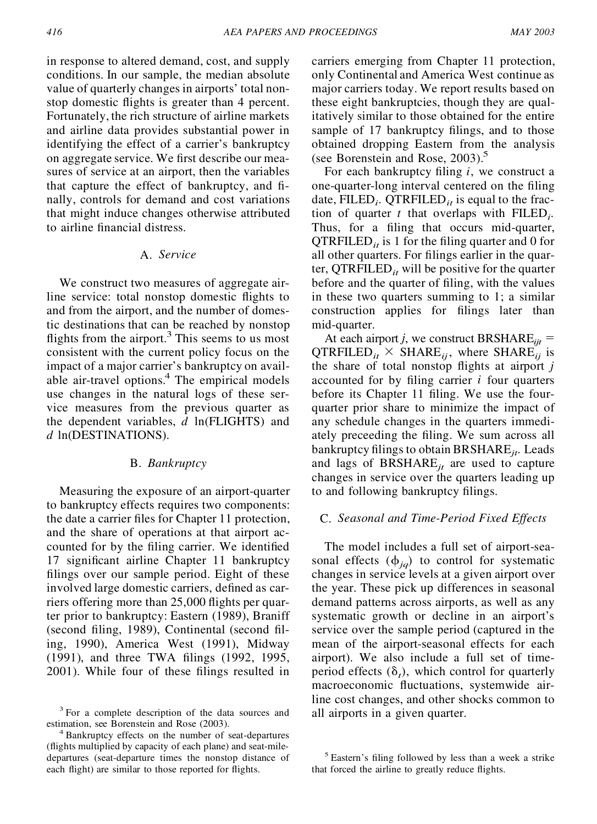in response to altered demand, cost, and supply conditions. In our sample, the median absolute value of quarterly changes in airports' total nonstop domestic flights is greater than 4 percent. Fortunately, the rich structure of airline markets and airline data provides substantial power in identifying the effect of a carrier's bankruptcy on aggregate service. We first describe our measures of service at an airport, then the variables that capture the effect of bankruptcy, and finally, controls for demand and cost variations that might induce changes otherwise attributed to airline financial distress.

### A. *Service*

We construct two measures of aggregate airline service: total nonstop domestic flights to and from the airport, and the number of domestic destinations that can be reached by nonstop flights from the airport.<sup>3</sup> This seems to us most consistent with the current policy focus on the impact of a major carrier's bankruptcy on available air-travel options.<sup>4</sup> The empirical models use changes in the natural logs of these service measures from the previous quarter as the dependent variables, *d* ln(FLIGHTS) and *d* ln(DESTINATIONS).

#### B. *Bankruptcy*

Measuring the exposure of an airport-quarter to bankruptcy effects requires two components: the date a carrier files for Chapter 11 protection, and the share of operations at that airport accounted for by the filing carrier. We identified 17 significant airline Chapter 11 bankruptcy filings over our sample period. Eight of these involved large domestic carriers, defined as carriers offering more than 25,000 flights per quarter prior to bankruptcy: Eastern (1989), Braniff (second filing, 1989), Continental (second filing, 1990), America West (1991), Midway (1991), and three TWA filings (1992, 1995, 2001). While four of these filings resulted in

carriers emerging from Chapter 11 protection, only Continental and America West continue as major carriers today. We report results based on these eight bankruptcies, though they are qualitatively similar to those obtained for the entire sample of 17 bankruptcy filings, and to those obtained dropping Eastern from the analysis (see Borenstein and Rose, 2003).<sup>5</sup>

For each bankruptcy filing *i*, we construct a one-quarter-long interval centered on the filing date, FILED<sub>*i*</sub>. QTRFILED<sub>*i*</sub> is equal to the fraction of quarter t that overlaps with FILED<sub>*i*</sub>. Thus, for a filing that occurs mid-quarter,  $QTRFILED<sub>it</sub>$  is 1 for the filing quarter and 0 for all other quarters. For filings earlier in the quarter,  $QTRFILED_{it}$  will be positive for the quarter before and the quarter of filing, with the values in these two quarters summing to 1; a similar construction applies for filings later than mid-quarter.

At each airport *j*, we construct BRSHARE $_{ijt}$  =  $QTRFILED_{it} \times SHARE_{ii}$ , where SHARE<sub>ij</sub> is the share of total nonstop flights at airport  $j$ accounted for by filing carrier  $i$  four quarters before its Chapter 11 filing. We use the fourquarter prior share to minimize the impact of any schedule changes in the quarters immediately preceeding the filing. We sum across all bankruptcy filings to obtain BRSHARE<sub>*it*</sub>. Leads and lags of BRSHARE*jt* are used to capture changes in service over the quarters leading up to and following bankruptcy filings.

#### C. *Seasonal and Time-Period Fixed Effects*

The model includes a full set of airport-seasonal effects  $(\phi_{iq})$  to control for systematic changes in service levels at a given airport over the year. These pick up differences in seasonal demand patterns across airports, as well as any systematic growth or decline in an airport's service over the sample period (captured in the mean of the airport-seasonal effects for each airport). We also include a full set of timeperiod effects  $(\delta_t)$ , which control for quarterly macroeconomic fluctuations, systemwide airline cost changes, and other shocks common to

 $3$  For a complete description of the data sources and all airports in a given quarter.<br>estimation, see Borenstein and Rose (2003).

<sup>&</sup>lt;sup>4</sup> Bankruptcy effects on the number of seat-departures (flights multiplied by capacity of each plane) and seat-miledepartures (seat-departure times the nonstop distance of each flight) are similar to those reported for flights.

<sup>&</sup>lt;sup>5</sup> Eastern's filing followed by less than a week a strike that forced the airline to greatly reduce flights.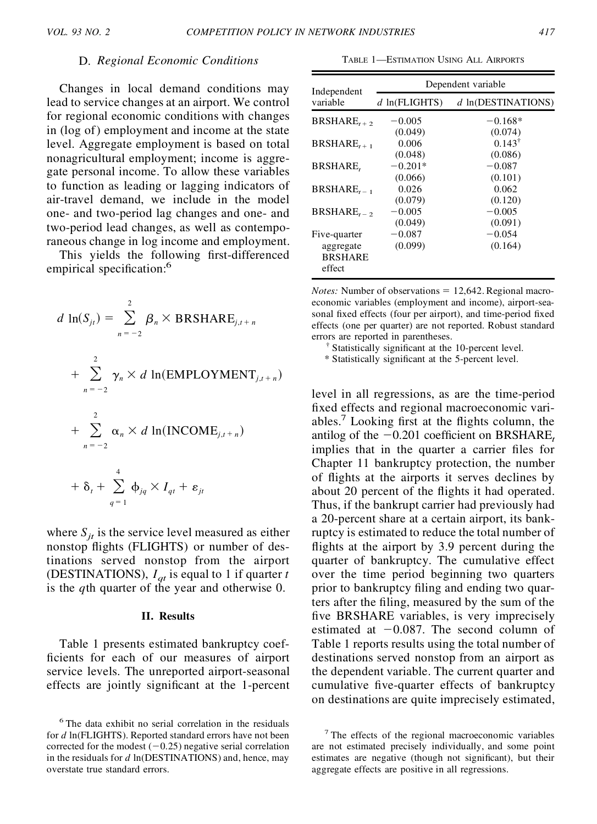#### D. *Regional Economic Conditions*

Changes in local demand conditions may lead to service changes at an airport. We control for regional economic conditions with changes in (log of) employment and income at the state level. Aggregate employment is based on total nonagricultural employment; income is aggregate personal income. To allow these variables to function as leading or lagging indicators of air-travel demand, we include in the model one- and two-period lag changes and one- and two-period lead changes, as well as contemporaneous change in log income and employment.

This yields the following first-differenced empirical specification:<sup>6</sup>

$$
d \ln(S_{jt}) = \sum_{n=-2}^{2} \beta_n \times \text{BRSHARE}_{j,t+n}
$$
  
+ 
$$
\sum_{n=-2}^{2} \gamma_n \times d \ln(\text{EMPLOYMENT}_{j,t+n})
$$
  
+ 
$$
\sum_{n=-2}^{2} \alpha_n \times d \ln(\text{INCOME}_{j,t+n})
$$
  
+ 
$$
\delta_t + \sum_{q=1}^{4} \phi_{jq} \times I_{qt} + \varepsilon_{jt}
$$

where  $S_{it}$  is the service level measured as either nonstop flights (FLIGHTS) or number of destinations served nonstop from the airport (DESTINATIONS),  $I_{at}$  is equal to 1 if quarter *t* is the *q*th quarter of the year and otherwise 0.

#### **II. Results**

Table 1 presents estimated bankruptcy coef ficients for each of our measures of airport service levels. The unreported airport-seasonal effects are jointly significant at the 1-percent

TABLE 1—ESTIMATION USING ALL AIRPORTS

| Independent                                           | Dependent variable   |                              |  |
|-------------------------------------------------------|----------------------|------------------------------|--|
| variable                                              | $d$ ln(FLIGHTS)      | $d$ ln(DESTINATIONS)         |  |
| $BRSHARE$ , +2                                        | $-0.005$<br>(0.049)  | $-0.168*$<br>(0.074)         |  |
| $BRSHARE_{r+1}$                                       | 0.006<br>(0.048)     | $0.143^{\dagger}$<br>(0.086) |  |
| <b>BRSHARE</b>                                        | $-0.201*$<br>(0.066) | $-0.087$<br>(0.101)          |  |
| $BRSHARE_{r-1}$                                       | 0.026<br>(0.079)     | 0.062<br>(0.120)             |  |
| $BRSHARE$ , $\overline{\phantom{a}}$                  | $-0.005$<br>(0.049)  | $-0.005$<br>(0.091)          |  |
| Five-quarter<br>aggregate<br><b>BRSHARE</b><br>effect | $-0.087$<br>(0.099)  | $-0.054$<br>(0.164)          |  |

*Notes:* Number of observations  $= 12,642$ . Regional macroeconomic variables (employment and income), airport-seasonal fixed effects (four per airport), and time-period fixed effects (one per quarter) are not reported. Robust standard errors are reported in parentheses.<br> $\uparrow$  Statistically significant at the 10-percent level.

\* Statistically signi cant at the 5-percent level.

level in all regressions, as are the time-period fixed effects and regional macroeconomic variables.<sup>7</sup> Looking first at the flights column, the antilog of the  $-0.201$  coefficient on BRSHARE<sub>t</sub> implies that in the quarter a carrier files for Chapter 11 bankruptcy protection, the number of flights at the airports it serves declines by about 20 percent of the flights it had operated. Thus, if the bankrupt carrier had previously had a 20-percent share at a certain airport, its bankruptcy is estimated to reduce the total number of flights at the airport by 3.9 percent during the quarter of bankruptcy. The cumulative effect over the time period beginning two quarters prior to bankruptcy filing and ending two quarters after the filing, measured by the sum of the five BRSHARE variables, is very imprecisely estimated at  $-0.087$ . The second column of Table 1 reports results using the total number of destinations served nonstop from an airport as the dependent variable. The current quarter and cumulative five-quarter effects of bankruptcy on destinations are quite imprecisely estimated,

<sup>6</sup> The data exhibit no serial correlation in the residuals for *d* ln(FLIGHTS). Reported standard errors have not been corrected for the modest  $(-0.25)$  negative serial correlation in the residuals for *d* ln(DESTINATIONS) and, hence, may overstate true standard errors.

<sup>7</sup> The effects of the regional macroeconomic variables are not estimated precisely individually, and some point estimates are negative (though not significant), but their aggregate effects are positive in all regressions.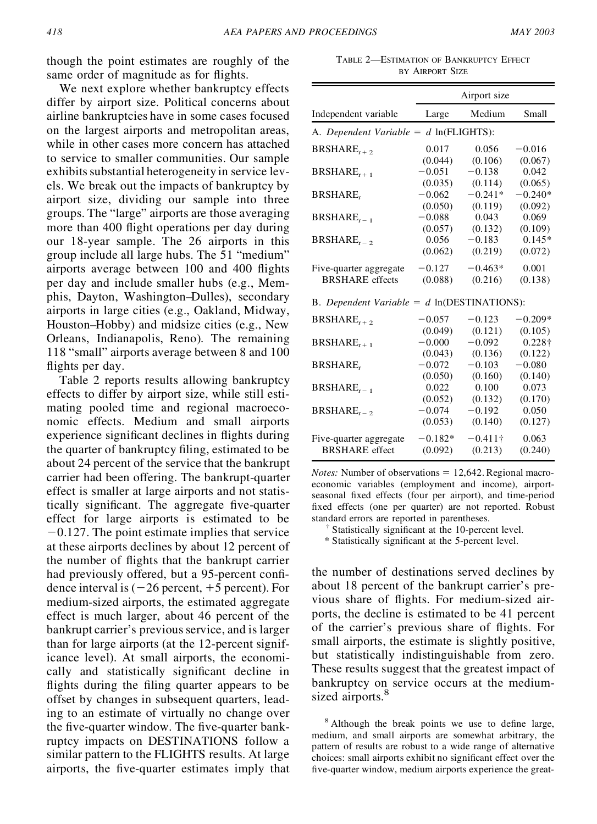though the point estimates are roughly of the same order of magnitude as for flights.

We next explore whether bankruptcy effects differ by airport size. Political concerns about airline bankruptcies have in some cases focused on the largest airports and metropolitan areas, while in other cases more concern has attached to service to smaller communities. Our sample exhibits substantial heterogeneity in service levels. We break out the impacts of bankruptcy by airport size, dividing our sample into three groups. The "large" airports are those averaging more than 400 flight operations per day during our 18-year sample. The 26 airports in this group include all large hubs. The 51 "medium" airports average between 100 and 400 flights per day and include smaller hubs (e.g., Memphis, Dayton, Washington–Dulles), secondary airports in large cities (e.g., Oakland, Midway, Houston–Hobby) and midsize cities (e.g., New Orleans, Indianapolis, Reno). The remaining 118 "small" airports average between 8 and 100 flights per day.

Table 2 reports results allowing bankruptcy effects to differ by airport size, while still estimating pooled time and regional macroeconomic effects. Medium and small airports experience significant declines in flights during the quarter of bankruptcy filing, estimated to be about 24 percent of the service that the bankrupt carrier had been offering. The bankrupt-quarter effect is smaller at large airports and not statistically significant. The aggregate five-quarter effect for large airports is estimated to be  $-0.127$ . The point estimate implies that service at these airports declines by about 12 percent of the number of flights that the bankrupt carrier had previously offered, but a 95-percent confidence interval is  $(-26$  percent,  $+5$  percent). For medium-sized airports, the estimated aggregate effect is much larger, about 46 percent of the bankrupt carrier's previous service, and is larger than for large airports (at the 12-percent significance level). At small airports, the economically and statistically significant decline in flights during the filing quarter appears to be offset by changes in subsequent quarters, leading to an estimate of virtually no change over the five-quarter window. The five-quarter bankruptcy impacts on DESTINATIONS follow a similar pattern to the FLIGHTS results. At large airports, the five-quarter estimates imply that

TABLE 2—ESTIMATION OF BANKRUPTCY EFFECT BY AIRPORT SIZE

|                                                             | Airport size |                 |           |  |  |  |
|-------------------------------------------------------------|--------------|-----------------|-----------|--|--|--|
| Independent variable                                        | Large        | Medium          | Small     |  |  |  |
| A. Dependent Variable = $d$ ln(FLIGHTS):                    |              |                 |           |  |  |  |
| BRSHARE, $_{1}$                                             | 0.017        | 0.056           | $-0.016$  |  |  |  |
|                                                             | (0.044)      | (0.106)         | (0.067)   |  |  |  |
| $BRSHARE$ , $_{+1}$                                         | $-0.051$     | $-0.138$        | 0.042     |  |  |  |
|                                                             | (0.035)      | (0.114)         | (0.065)   |  |  |  |
| BRSHARE,                                                    | $-0.062$     | $-0.241*$       | $-0.240*$ |  |  |  |
|                                                             | (0.050)      | (0.119)         | (0.092)   |  |  |  |
| $BRSHARE$ <sub>r-1</sub>                                    | $-0.088$     | 0.043           | 0.069     |  |  |  |
|                                                             | (0.057)      | (0.132)         | (0.109)   |  |  |  |
| BRSHARE, $_{2}$                                             | 0.056        | $-0.183$        | $0.145*$  |  |  |  |
|                                                             | (0.062)      | (0.219)         | (0.072)   |  |  |  |
| Five-quarter aggregate                                      | $-0.127$     | $-0.463*$       | 0.001     |  |  |  |
| <b>BRSHARE</b> effects                                      | (0.088)      | (0.216)         | (0.138)   |  |  |  |
| B. Dependent Variable = $d \ln(\text{DESTINGSTINATIONS})$ : |              |                 |           |  |  |  |
| $BRSHARE$ , $\rightarrow$                                   | $-0.057$     | $-0.123$        | $-0.209*$ |  |  |  |
|                                                             | (0.049)      | (0.121)         | (0.105)   |  |  |  |
| $BRSHARE_{r+1}$                                             | $-0.000$     | $-0.092$        | 0.228+    |  |  |  |
|                                                             | (0.043)      | (0.136)         | (0.122)   |  |  |  |
| BRSHARE,                                                    | $-0.072$     | $-0.103$        | $-0.080$  |  |  |  |
|                                                             | (0.050)      | (0.160)         | (0.140)   |  |  |  |
| $BRSHARE_{r-1}$                                             | 0.022        | 0.100           | 0.073     |  |  |  |
|                                                             | (0.052)      | (0.132)         | (0.170)   |  |  |  |
| $BRSHARE$ , $\rightarrow$                                   | $-0.074$     | $-0.192$        | 0.050     |  |  |  |
|                                                             | (0.053)      | (0.140)         | (0.127)   |  |  |  |
| Five-quarter aggregate                                      | $-0.182*$    | $-0.411\dagger$ | 0.063     |  |  |  |
| <b>BRSHARE</b> effect                                       | (0.092)      | (0.213)         | (0.240)   |  |  |  |

*Notes:* Number of observations  $= 12,642$ . Regional macroeconomic variables (employment and income), airportseasonal fixed effects (four per airport), and time-period fixed effects (one per quarter) are not reported. Robust standard errors are reported in parentheses.<br><sup>†</sup> Statistically significant at the 10-percent level.

\* Statistically signi cant at the 5-percent level.

the number of destinations served declines by about 18 percent of the bankrupt carrier's previous share of flights. For medium-sized airports, the decline is estimated to be 41 percent of the carrier's previous share of flights. For small airports, the estimate is slightly positive, but statistically indistinguishable from zero. These results suggest that the greatest impact of bankruptcy on service occurs at the mediumsized airports.<sup>8</sup>

<sup>8</sup> Although the break points we use to define large, medium, and small airports are somewhat arbitrary, the pattern of results are robust to a wide range of alternative choices: small airports exhibit no significant effect over the five-quarter window, medium airports experience the great-